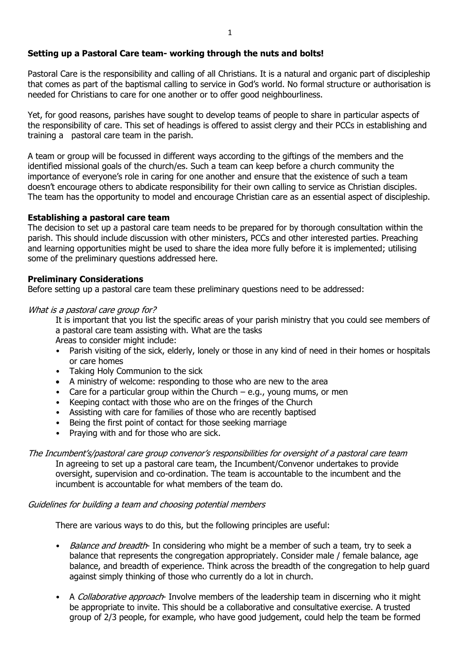# **Setting up a Pastoral Care team- working through the nuts and bolts!**

Pastoral Care is the responsibility and calling of all Christians. It is a natural and organic part of discipleship that comes as part of the baptismal calling to service in God's world. No formal structure or authorisation is needed for Christians to care for one another or to offer good neighbourliness.

Yet, for good reasons, parishes have sought to develop teams of people to share in particular aspects of the responsibility of care. This set of headings is offered to assist clergy and their PCCs in establishing and training a pastoral care team in the parish.

A team or group will be focussed in different ways according to the giftings of the members and the identified missional goals of the church/es. Such a team can keep before a church community the importance of everyone's role in caring for one another and ensure that the existence of such a team doesn't encourage others to abdicate responsibility for their own calling to service as Christian disciples. The team has the opportunity to model and encourage Christian care as an essential aspect of discipleship.

## **Establishing a pastoral care team**

The decision to set up a pastoral care team needs to be prepared for by thorough consultation within the parish. This should include discussion with other ministers, PCCs and other interested parties. Preaching and learning opportunities might be used to share the idea more fully before it is implemented; utilising some of the preliminary questions addressed here.

## **Preliminary Considerations**

Before setting up a pastoral care team these preliminary questions need to be addressed:

## What is a pastoral care group for?

It is important that you list the specific areas of your parish ministry that you could see members of a pastoral care team assisting with. What are the tasks

Areas to consider might include:

- Parish visiting of the sick, elderly, lonely or those in any kind of need in their homes or hospitals or care homes
- Taking Holy Communion to the sick
- A ministry of welcome: responding to those who are new to the area
- Care for a particular group within the Church e.g., young mums, or men
- Keeping contact with those who are on the fringes of the Church
- Assisting with care for families of those who are recently baptised
- Being the first point of contact for those seeking marriage
- Praying with and for those who are sick.

The Incumbent's/pastoral care group convenor's responsibilities for oversight of a pastoral care team In agreeing to set up a pastoral care team, the Incumbent/Convenor undertakes to provide oversight, supervision and co-ordination. The team is accountable to the incumbent and the incumbent is accountable for what members of the team do.

### Guidelines for building a team and choosing potential members

There are various ways to do this, but the following principles are useful:

- Balance and breadth- In considering who might be a member of such a team, try to seek a balance that represents the congregation appropriately. Consider male / female balance, age balance, and breadth of experience. Think across the breadth of the congregation to help guard against simply thinking of those who currently do a lot in church.
- A Collaborative approach- Involve members of the leadership team in discerning who it might be appropriate to invite. This should be a collaborative and consultative exercise. A trusted group of 2/3 people, for example, who have good judgement, could help the team be formed